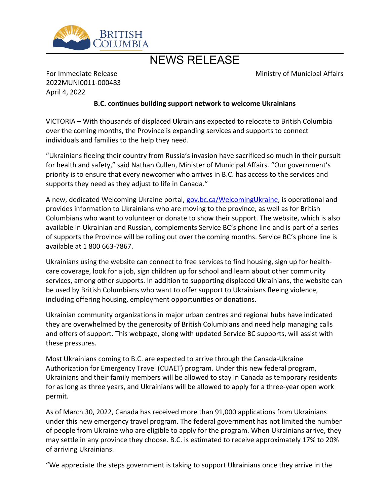

# NEWS RELEASE

Ministry of Municipal Affairs

For Immediate Release 2022MUNI0011-000483 April 4, 2022

### **B.C. continues building support network to welcome Ukrainians**

VICTORIA – With thousands of displaced Ukrainians expected to relocate to British Columbia over the coming months, the Province is expanding services and supports to connect individuals and families to the help they need.

͞Ukrainians fleeing their country from Russia͛s invasion have sacrificed so much in their pursuit for health and safety," said Nathan Cullen, Minister of Municipal Affairs. "Our government's priority is to ensure that every newcomer who arrives in B.C. has access to the services and supports they need as they adjust to life in Canada."

A new, dedicated Welcoming Ukraine portal, [gov.bc.ca/WelcomingUkraine,](https://gov.bc.ca/WelcomingUkraine) is operational and provides information to Ukrainians who are moving to the province, as well as for British Columbians who want to volunteer or donate to show their support. The website, which is also available in Ukrainian and Russian, complements Service BC's phone line and is part of a series of supports the Province will be rolling out over the coming months. Service BC's phone line is available at 1 800 663-7867.

Ukrainians using the website can connect to free services to find housing, sign up for healthcare coverage, look for a job, sign children up for school and learn about other community services, among other supports. In addition to supporting displaced Ukrainians, the website can be used by British Columbians who want to offer support to Ukrainians fleeing violence, including offering housing, employment opportunities or donations.

Ukrainian community organizations in major urban centres and regional hubs have indicated they are overwhelmed by the generosity of British Columbians and need help managing calls and offers of support. This webpage, along with updated Service BC supports, will assist with these pressures.

Most Ukrainians coming to B.C. are expected to arrive through the Canada-Ukraine Authorization for Emergency Travel (CUAET) program. Under this new federal program, Ukrainians and their family members will be allowed to stay in Canada as temporary residents for as long as three years, and Ukrainians will be allowed to apply for a three-year open work permit.

As of March 30, 2022, Canada has received more than 91,000 applications from Ukrainians under this new emergency travel program. The federal government has not limited the number of people from Ukraine who are eligible to apply for the program. When Ukrainians arrive, they may settle in any province they choose. B.C. is estimated to receive approximately 17% to 20% of arriving Ukrainians.

͞We appreciate the steps government is taking to support Ukrainians once they arrive in the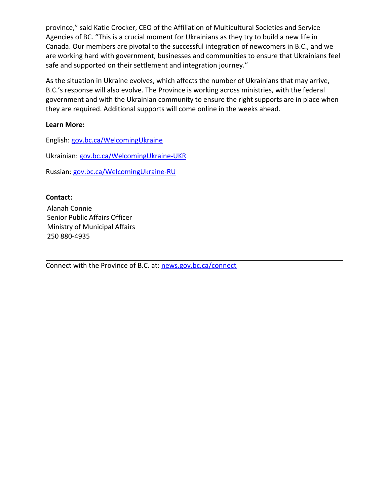province," said Katie Crocker, CEO of the Affiliation of Multicultural Societies and Service Agencies of BC. "This is a crucial moment for Ukrainians as they try to build a new life in Canada. Our members are pivotal to the successful integration of newcomers in B.C., and we are working hard with government, businesses and communities to ensure that Ukrainians feel safe and supported on their settlement and integration journey."

As the situation in Ukraine evolves, which affects the number of Ukrainians that may arrive, B.C.'s response will also evolve. The Province is working across ministries, with the federal government and with the Ukrainian community to ensure the right supports are in place when they are required. Additional supports will come online in the weeks ahead.

### **Learn More:**

English: [gov.bc.ca/WelcomingUkraine](https://gov.bc.ca/WelcomingUkraine)

Ukrainian: [gov.bc.ca/WelcomingUkraine-UKR](https://gov.bc.ca/WelcomingUkraine-UKR)

Russian: [gov.bc.ca/WelcomingUkraine-RU](https://gov.bc.ca/WelcomingUkraine-RU)

## **Contact:**

Alanah Connie Senior Public Affairs Officer Ministry of Municipal Affairs 250 880-4935

Connect with the Province of B.C. at: [news.gov.bc.ca/connect](http://news.gov.bc.ca/connect)